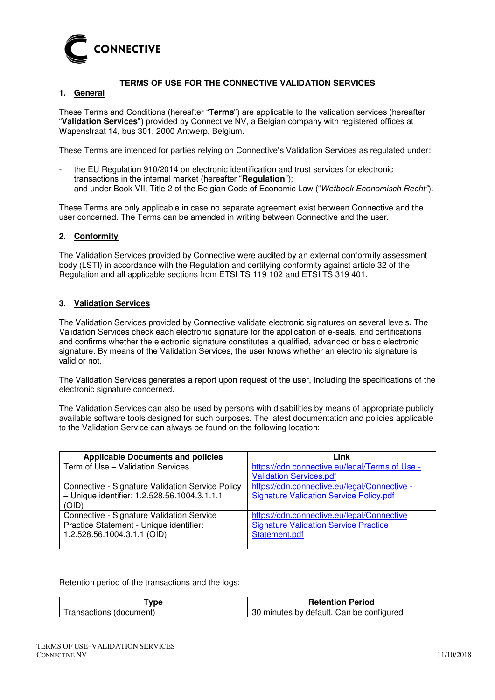

# **TERMS OF USE FOR THE CONNECTIVE VALIDATION SERVICES**

## **1. General**

These Terms and Conditions (hereafter "**Terms**") are applicable to the validation services (hereafter "**Validation Services**") provided by Connective NV, a Belgian company with registered offices at Wapenstraat 14, bus 301, 2000 Antwerp, Belgium.

These Terms are intended for parties relying on Connective's Validation Services as regulated under:

- the EU Regulation 910/2014 on electronic identification and trust services for electronic transactions in the internal market (hereafter "**Regulation**");
- and under Book VII, Title 2 of the Belgian Code of Economic Law ("*Wetboek Economisch Recht"*).

These Terms are only applicable in case no separate agreement exist between Connective and the user concerned. The Terms can be amended in writing between Connective and the user.

## **2. Conformity**

The Validation Services provided by Connective were audited by an external conformity assessment body (LSTI) in accordance with the Regulation and certifying conformity against article 32 of the Regulation and all applicable sections from ETSI TS 119 102 and ETSI TS 319 401.

## **3. Validation Services**

The Validation Services provided by Connective validate electronic signatures on several levels. The Validation Services check each electronic signature for the application of e-seals, and certifications and confirms whether the electronic signature constitutes a qualified, advanced or basic electronic signature. By means of the Validation Services, the user knows whether an electronic signature is valid or not.

The Validation Services generates a report upon request of the user, including the specifications of the electronic signature concerned.

The Validation Services can also be used by persons with disabilities by means of appropriate publicly available software tools designed for such purposes. The latest documentation and policies applicable to the Validation Service can always be found on the following location:

| <b>Applicable Documents and policies</b>         | Link                                           |
|--------------------------------------------------|------------------------------------------------|
| Term of Use - Validation Services                | https://cdn.connective.eu/legal/Terms of Use - |
|                                                  | <b>Validation Services.pdf</b>                 |
| Connective - Signature Validation Service Policy | https://cdn.connective.eu/legal/Connective -   |
| - Unique identifier: 1.2.528.56.1004.3.1.1.1     | <b>Signature Validation Service Policy.pdf</b> |
| (OID)                                            |                                                |
| Connective - Signature Validation Service        | https://cdn.connective.eu/legal/Connective     |
| Practice Statement - Unique identifier:          | <b>Signature Validation Service Practice</b>   |
| 1.2.528.56.1004.3.1.1 (OID)                      | Statement.pdf                                  |
|                                                  |                                                |

Retention period of the transactions and the logs:

| vpe                     | <b>Retention Period</b>                  |
|-------------------------|------------------------------------------|
| Transactions (document) | 30 minutes by default. Can be configured |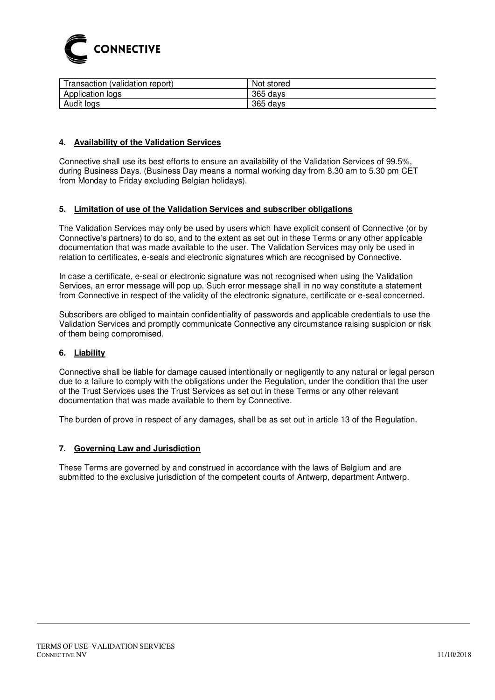

| Transaction (validation report) | Not stored  |
|---------------------------------|-------------|
| Application logs                | 365 days    |
| Audit logs                      | 365<br>davs |

## **4. Availability of the Validation Services**

Connective shall use its best efforts to ensure an availability of the Validation Services of 99.5%, during Business Days. (Business Day means a normal working day from 8.30 am to 5.30 pm CET from Monday to Friday excluding Belgian holidays).

## **5. Limitation of use of the Validation Services and subscriber obligations**

The Validation Services may only be used by users which have explicit consent of Connective (or by Connective's partners) to do so, and to the extent as set out in these Terms or any other applicable documentation that was made available to the user. The Validation Services may only be used in relation to certificates, e-seals and electronic signatures which are recognised by Connective.

In case a certificate, e-seal or electronic signature was not recognised when using the Validation Services, an error message will pop up. Such error message shall in no way constitute a statement from Connective in respect of the validity of the electronic signature, certificate or e-seal concerned.

Subscribers are obliged to maintain confidentiality of passwords and applicable credentials to use the Validation Services and promptly communicate Connective any circumstance raising suspicion or risk of them being compromised.

## **6. Liability**

Connective shall be liable for damage caused intentionally or negligently to any natural or legal person due to a failure to comply with the obligations under the Regulation, under the condition that the user of the Trust Services uses the Trust Services as set out in these Terms or any other relevant documentation that was made available to them by Connective.

The burden of prove in respect of any damages, shall be as set out in article 13 of the Regulation.

#### **7. Governing Law and Jurisdiction**

These Terms are governed by and construed in accordance with the laws of Belgium and are submitted to the exclusive jurisdiction of the competent courts of Antwerp, department Antwerp.